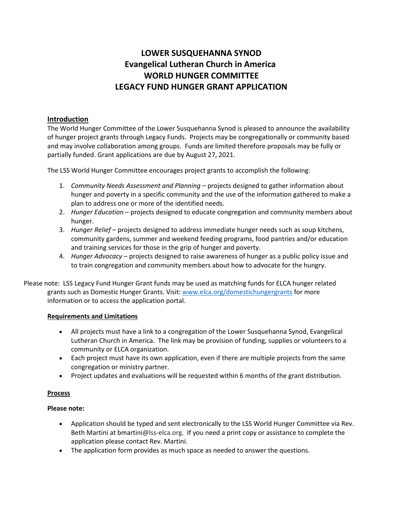# **LOWER SUSQUEHANNA SYNOD Evangelical Lutheran Church in America WORLD HUNGER COMMITTEE LEGACY FUND HUNGER GRANT APPLICATION**

# **Introduction**

The World Hunger Committee of the Lower Susquehanna Synod is pleased to announce the availability of hunger project grants through Legacy Funds. Projects may be congregationally or community based and may involve collaboration among groups. Funds are limited therefore proposals may be fully or partially funded. Grant applications are due by August 27, 2021.

The LSS World Hunger Committee encourages project grants to accomplish the following:

- 1. *Community Needs Assessment and Planning* projects designed to gather information about hunger and poverty in a specific community and the use of the information gathered to make a plan to address one or more of the identified needs.
- 2. *Hunger Education* projects designed to educate congregation and community members about hunger.
- 3. *Hunger Relief* projects designed to address immediate hunger needs such as soup kitchens, community gardens, summer and weekend feeding programs, food pantries and/or education and training services for those in the grip of hunger and poverty.
- 4. *Hunger Advocacy* projects designed to raise awareness of hunger as a public policy issue and to train congregation and community members about how to advocate for the hungry.

Please note: LSS Legacy Fund Hunger Grant funds may be used as matching funds for ELCA hunger related grants such as Domestic Hunger Grants. Visit: [www.elca.org/domestichungergrants](http://www.elca.org/domestichungergrants) for more information or to access the application portal.

## **Requirements and Limitations**

- All projects must have a link to a congregation of the Lower Susquehanna Synod, Evangelical Lutheran Church in America. The link may be provision of funding, supplies or volunteers to a community or ELCA organization.
- Each project must have its own application, even if there are multiple projects from the same congregation or ministry partner.
- Project updates and evaluations will be requested within 6 months of the grant distribution.

## **Process**

## **Please note:**

- Application should be typed and sent electronically to the LSS World Hunger Committee via Rev. Beth Martini at bmartini@lss-elca.org. If you need a print copy or assistance to complete the application please contact Rev. Martini.
- The application form provides as much space as needed to answer the questions.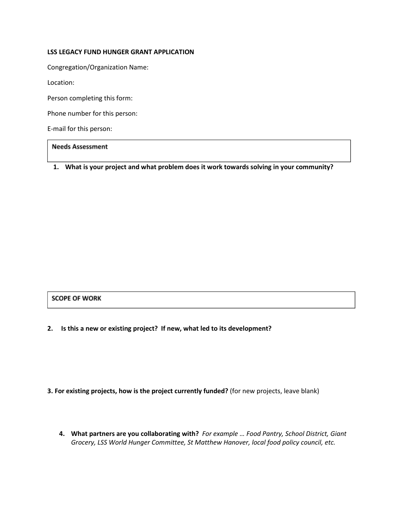## **LSS LEGACY FUND HUNGER GRANT APPLICATION**

Congregation/Organization Name:

Location:

Person completing this form:

Phone number for this person:

E-mail for this person:

## **Needs Assessment**

**1. What is your project and what problem does it work towards solving in your community?** 

#### **SCOPE OF WORK**

**2. Is this a new or existing project? If new, what led to its development?** 

## **3. For existing projects, how is the project currently funded?** (for new projects, leave blank)

**4. What partners are you collaborating with?** *For example … Food Pantry, School District, Giant Grocery, LSS World Hunger Committee, St Matthew Hanover, local food policy council, etc.*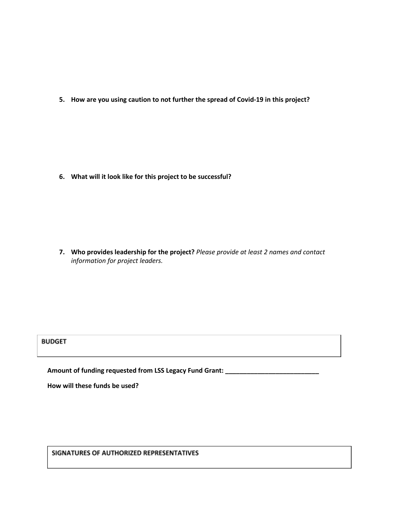**5. How are you using caution to not further the spread of Covid-19 in this project?** 

**6. What will it look like for this project to be successful?** 

**7. Who provides leadership for the project?** *Please provide at least 2 names and contact information for project leaders.* 

# **BUDGET**

**Amount of funding requested from LSS Legacy Fund Grant: \_\_\_\_\_\_\_\_\_\_\_\_\_\_\_\_\_\_\_\_\_\_\_\_\_\_**

**How will these funds be used?**

SIGNATURES OF AUTHORIZED REPRESENTATIVES